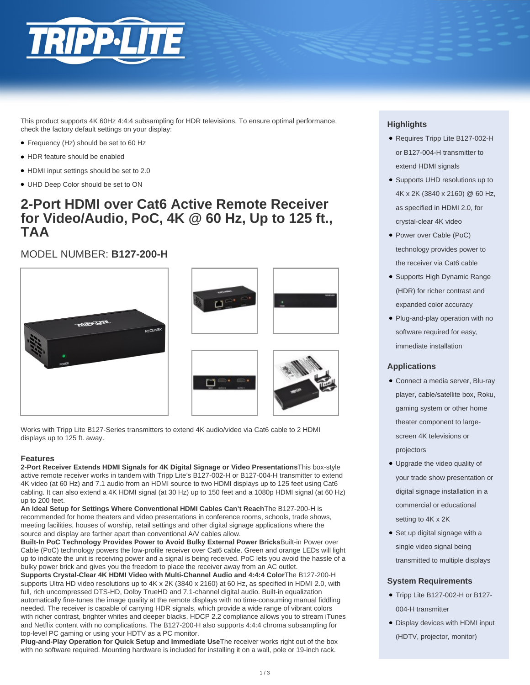

This product supports 4K 60Hz 4:4:4 subsampling for HDR televisions. To ensure optimal performance, check the factory default settings on your display:

- Frequency (Hz) should be set to 60 Hz
- HDR feature should be enabled
- HDMI input settings should be set to 2.0
- UHD Deep Color should be set to ON

## **2-Port HDMI over Cat6 Active Remote Receiver for Video/Audio, PoC, 4K @ 60 Hz, Up to 125 ft., TAA**

## MODEL NUMBER: **B127-200-H**









Works with Tripp Lite B127-Series transmitters to extend 4K audio/video via Cat6 cable to 2 HDMI displays up to 125 ft. away.

#### **Features**

**2-Port Receiver Extends HDMI Signals for 4K Digital Signage or Video Presentations**This box-style active remote receiver works in tandem with Tripp Lite's B127-002-H or B127-004-H transmitter to extend 4K video (at 60 Hz) and 7.1 audio from an HDMI source to two HDMI displays up to 125 feet using Cat6 cabling. It can also extend a 4K HDMI signal (at 30 Hz) up to 150 feet and a 1080p HDMI signal (at 60 Hz) up to 200 feet.

**An Ideal Setup for Settings Where Conventional HDMI Cables Can't Reach**The B127-200-H is recommended for home theaters and video presentations in conference rooms, schools, trade shows, meeting facilities, houses of worship, retail settings and other digital signage applications where the source and display are farther apart than conventional A/V cables allow.

**Built-In PoC Technology Provides Power to Avoid Bulky External Power Bricks**Built-in Power over Cable (PoC) technology powers the low-profile receiver over Cat6 cable. Green and orange LEDs will light up to indicate the unit is receiving power and a signal is being received. PoC lets you avoid the hassle of a bulky power brick and gives you the freedom to place the receiver away from an AC outlet.

**Supports Crystal-Clear 4K HDMI Video with Multi-Channel Audio and 4:4:4 Color**The B127-200-H supports Ultra HD video resolutions up to 4K x 2K (3840 x 2160) at 60 Hz, as specified in HDMI 2.0, with full, rich uncompressed DTS-HD, Dolby TrueHD and 7.1-channel digital audio. Built-in equalization automatically fine-tunes the image quality at the remote displays with no time-consuming manual fiddling needed. The receiver is capable of carrying HDR signals, which provide a wide range of vibrant colors with richer contrast, brighter whites and deeper blacks. HDCP 2.2 compliance allows you to stream iTunes and Netflix content with no complications. The B127-200-H also supports 4:4:4 chroma subsampling for top-level PC gaming or using your HDTV as a PC monitor.

**Plug-and-Play Operation for Quick Setup and Immediate Use**The receiver works right out of the box with no software required. Mounting hardware is included for installing it on a wall, pole or 19-inch rack.

#### **Highlights**

- Requires Tripp Lite B127-002-H or B127-004-H transmitter to extend HDMI signals
- Supports UHD resolutions up to 4K x 2K (3840 x 2160) @ 60 Hz, as specified in HDMI 2.0, for crystal-clear 4K video
- Power over Cable (PoC) technology provides power to the receiver via Cat6 cable
- Supports High Dynamic Range (HDR) for richer contrast and expanded color accuracy
- Plug-and-play operation with no software required for easy, immediate installation

### **Applications**

- Connect a media server, Blu-ray player, cable/satellite box, Roku, gaming system or other home theater component to largescreen 4K televisions or projectors
- Upgrade the video quality of your trade show presentation or digital signage installation in a commercial or educational setting to 4K x 2K
- Set up digital signage with a single video signal being transmitted to multiple displays

#### **System Requirements**

- Tripp Lite B127-002-H or B127-004-H transmitter
- Display devices with HDMI input (HDTV, projector, monitor)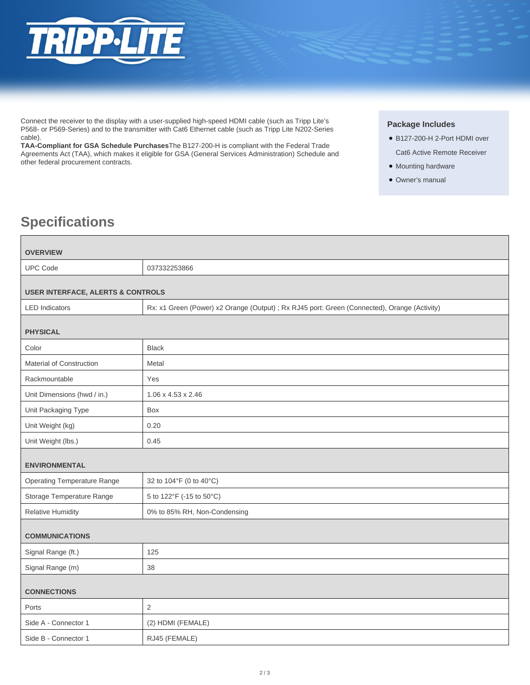

Connect the receiver to the display with a user-supplied high-speed HDMI cable (such as Tripp Lite's P568- or P569-Series) and to the transmitter with Cat6 Ethernet cable (such as Tripp Lite N202-Series cable).

**TAA-Compliant for GSA Schedule Purchases**The B127-200-H is compliant with the Federal Trade Agreements Act (TAA), which makes it eligible for GSA (General Services Administration) Schedule and other federal procurement contracts.

#### **Package Includes**

- B127-200-H 2-Port HDMI over Cat6 Active Remote Receiver
- Mounting hardware
- Owner's manual

# **Specifications**

| <b>OVERVIEW</b>                              |                                                                                              |  |
|----------------------------------------------|----------------------------------------------------------------------------------------------|--|
| <b>UPC Code</b>                              | 037332253866                                                                                 |  |
|                                              |                                                                                              |  |
| <b>USER INTERFACE, ALERTS &amp; CONTROLS</b> |                                                                                              |  |
| <b>LED Indicators</b>                        | Rx: x1 Green (Power) x2 Orange (Output) ; Rx RJ45 port: Green (Connected), Orange (Activity) |  |
| <b>PHYSICAL</b>                              |                                                                                              |  |
| Color                                        | <b>Black</b>                                                                                 |  |
| Material of Construction                     | Metal                                                                                        |  |
| Rackmountable                                | Yes                                                                                          |  |
| Unit Dimensions (hwd / in.)                  | $1.06 \times 4.53 \times 2.46$                                                               |  |
| Unit Packaging Type                          | Box                                                                                          |  |
| Unit Weight (kg)                             | 0.20                                                                                         |  |
| Unit Weight (lbs.)                           | 0.45                                                                                         |  |
| <b>ENVIRONMENTAL</b>                         |                                                                                              |  |
| <b>Operating Temperature Range</b>           | 32 to 104°F (0 to 40°C)                                                                      |  |
| Storage Temperature Range                    | 5 to 122°F (-15 to 50°C)                                                                     |  |
| <b>Relative Humidity</b>                     | 0% to 85% RH, Non-Condensing                                                                 |  |
| <b>COMMUNICATIONS</b>                        |                                                                                              |  |
| Signal Range (ft.)                           | 125                                                                                          |  |
| Signal Range (m)                             | 38                                                                                           |  |
| <b>CONNECTIONS</b>                           |                                                                                              |  |
| Ports                                        | $\overline{2}$                                                                               |  |
| Side A - Connector 1                         | (2) HDMI (FEMALE)                                                                            |  |
| Side B - Connector 1                         | RJ45 (FEMALE)                                                                                |  |